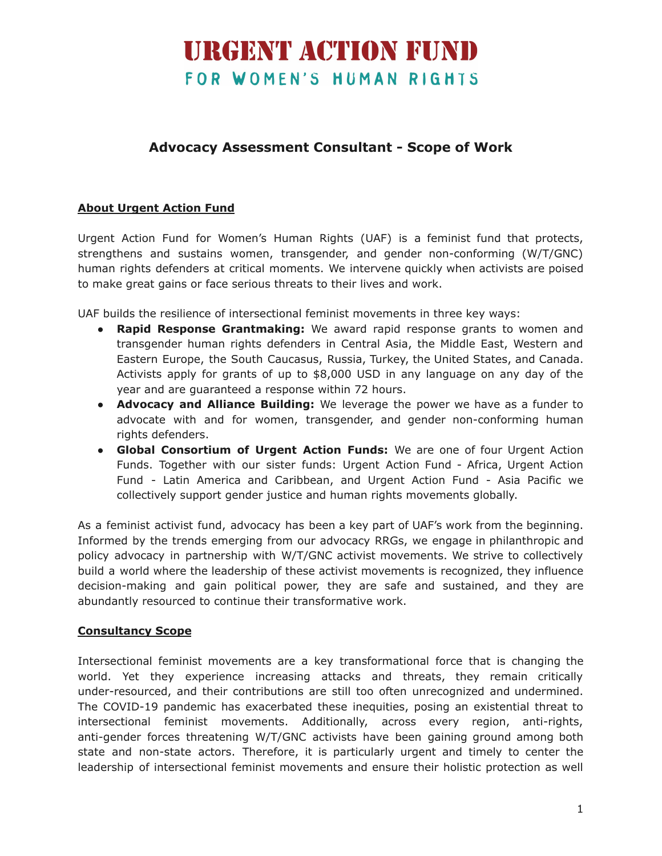### **URGENT ACTION FUND** FOR WOMEN'S HUMAN RIGHTS

### **Advocacy Assessment Consultant - Scope of Work**

#### **About Urgent Action Fund**

Urgent Action Fund for Women's Human Rights (UAF) is a feminist fund that protects, strengthens and sustains women, transgender, and gender non-conforming (W/T/GNC) human rights defenders at critical moments. We intervene quickly when activists are poised to make great gains or face serious threats to their lives and work.

UAF builds the resilience of intersectional feminist movements in three key ways:

- **Rapid Response Grantmaking:** We award rapid response grants to women and transgender human rights defenders in Central Asia, the Middle East, Western and Eastern Europe, the South Caucasus, Russia, Turkey, the United States, and Canada. Activists apply for grants of up to \$8,000 USD in any language on any day of the year and are guaranteed a response within 72 hours.
- **Advocacy and Alliance Building:** We leverage the power we have as a funder to advocate with and for women, transgender, and gender non-conforming human rights defenders.
- **Global Consortium of Urgent Action Funds:** We are one of four Urgent Action Funds. Together with our sister funds: Urgent Action Fund - Africa, Urgent Action Fund - Latin America and Caribbean, and Urgent Action Fund - Asia Pacific we collectively support gender justice and human rights movements globally.

As a feminist activist fund, advocacy has been a key part of UAF's work from the beginning. Informed by the trends emerging from our advocacy RRGs, we engage in philanthropic and policy advocacy in partnership with W/T/GNC activist movements. We strive to collectively build a world where the leadership of these activist movements is recognized, they influence decision-making and gain political power, they are safe and sustained, and they are abundantly resourced to continue their transformative work.

#### **Consultancy Scope**

Intersectional feminist movements are a key transformational force that is changing the world. Yet they experience increasing attacks and threats, they remain critically under-resourced, and their contributions are still too often unrecognized and undermined. The COVID-19 pandemic has exacerbated these inequities, posing an existential threat to intersectional feminist movements. Additionally, across every region, anti-rights, anti-gender forces threatening W/T/GNC activists have been gaining ground among both state and non-state actors. Therefore, it is particularly urgent and timely to center the leadership of intersectional feminist movements and ensure their holistic protection as well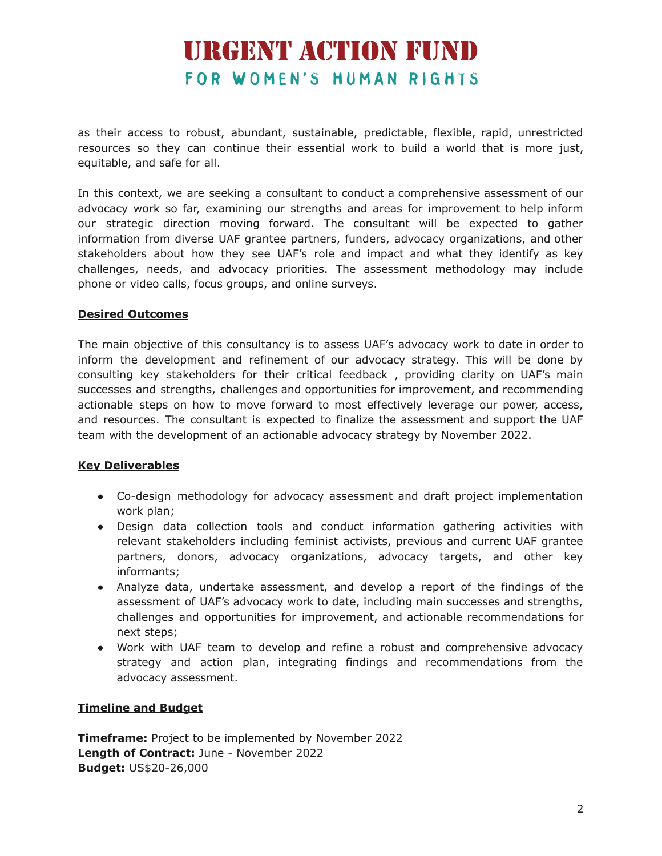# **URGENT ACTION FUND** FOR WOMEN'S HUMAN RIGHTS

as their access to robust, abundant, sustainable, predictable, flexible, rapid, unrestricted resources so they can continue their essential work to build a world that is more just, equitable, and safe for all.

In this context, we are seeking a consultant to conduct a comprehensive assessment of our advocacy work so far, examining our strengths and areas for improvement to help inform our strategic direction moving forward. The consultant will be expected to gather information from diverse UAF grantee partners, funders, advocacy organizations, and other stakeholders about how they see UAF's role and impact and what they identify as key challenges, needs, and advocacy priorities. The assessment methodology may include phone or video calls, focus groups, and online surveys.

#### **Desired Outcomes**

The main objective of this consultancy is to assess UAF's advocacy work to date in order to inform the development and refinement of our advocacy strategy. This will be done by consulting key stakeholders for their critical feedback , providing clarity on UAF's main successes and strengths, challenges and opportunities for improvement, and recommending actionable steps on how to move forward to most effectively leverage our power, access, and resources. The consultant is expected to finalize the assessment and support the UAF team with the development of an actionable advocacy strategy by November 2022.

#### **Key Deliverables**

- Co-design methodology for advocacy assessment and draft project implementation work plan;
- Design data collection tools and conduct information gathering activities with relevant stakeholders including feminist activists, previous and current UAF grantee partners, donors, advocacy organizations, advocacy targets, and other key informants;
- Analyze data, undertake assessment, and develop a report of the findings of the assessment of UAF's advocacy work to date, including main successes and strengths, challenges and opportunities for improvement, and actionable recommendations for next steps;
- Work with UAF team to develop and refine a robust and comprehensive advocacy strategy and action plan, integrating findings and recommendations from the advocacy assessment.

#### **Timeline and Budget**

**Timeframe:** Project to be implemented by November 2022 **Length of Contract:** June - November 2022 **Budget:** US\$20-26,000